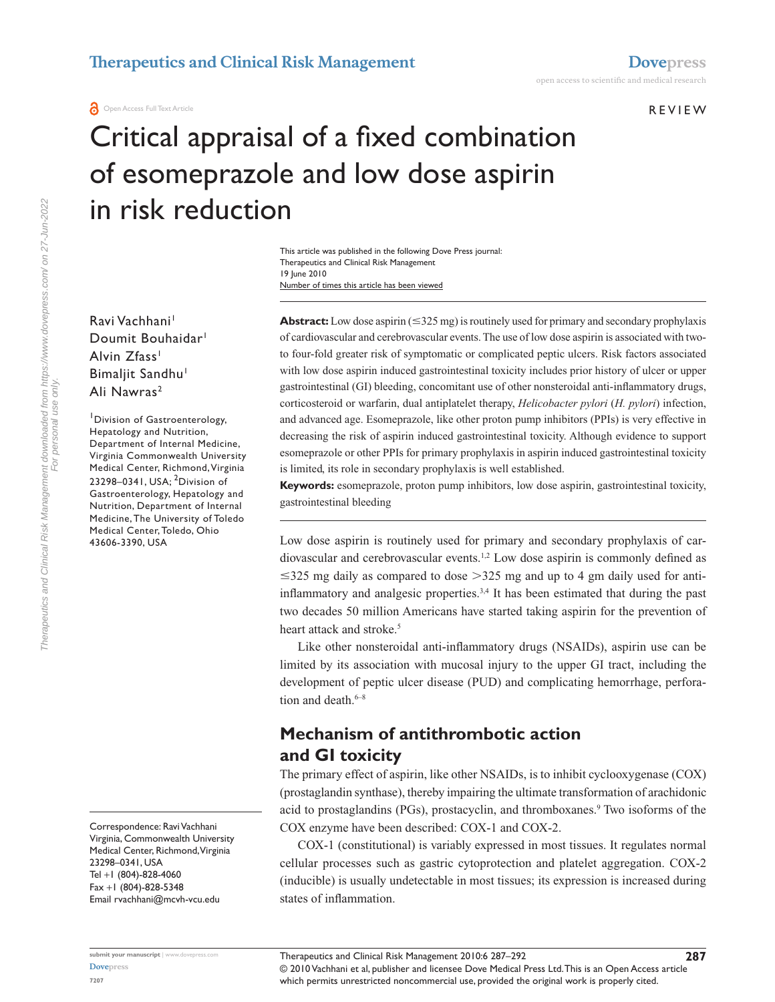### **Therapeutics and Clinical Risk Management**

**a** Open Access Full Text Article

#### **REVIEW**

# Critical appraisal of a fixed combination of esomeprazole and low dose aspirin in risk reduction

Number of times this article has been viewed This article was published in the following Dove Press journal: Therapeutics and Clinical Risk Management 19 June 2010

Ravi Vachhani<sup>1</sup> Doumit Bouhaidar<sup>1</sup> Alvin Zfass<sup>1</sup> Bimaljit Sandhu<sup>1</sup> Ali Nawras<sup>2</sup>

<sup>1</sup> Division of Gastroenterology, Hepatology and Nutrition, Department of Internal Medicine, Virginia Commonwealth University Medical Center, Richmond, Virginia 23298-0341, USA; <sup>2</sup>Division of Gastroenterology, Hepatology and Nutrition, Department of Internal Medicine, The University of Toledo Medical Center, Toledo, Ohio 43606-3390, USA

Correspondence: Ravi Vachhani Virginia, Commonwealth University Medical Center, Richmond, Virginia 23298–0341, USA Tel +1 (804)-828-4060 Fax +1 (804)-828-5348 Email rvachhani@mcvh-vcu.edu

**[Dovepress](www.dovepress.com) 7207**

**Abstract:** Low dose aspirin  $(\leq 325 \text{ mg})$  is routinely used for primary and secondary prophylaxis of cardiovascular and cerebrovascular events. The use of low dose aspirin is associated with twoto four-fold greater risk of symptomatic or complicated peptic ulcers. Risk factors associated with low dose aspirin induced gastrointestinal toxicity includes prior history of ulcer or upper gastrointestinal (GI) bleeding, concomitant use of other nonsteroidal anti-inflammatory drugs, corticosteroid or warfarin, dual antiplatelet therapy, *Helicobacter pylori* (*H. pylori*) infection, and advanced age. Esomeprazole, like other proton pump inhibitors (PPIs) is very effective in decreasing the risk of aspirin induced gastrointestinal toxicity. Although evidence to support esomeprazole or other PPIs for primary prophylaxis in aspirin induced gastrointestinal toxicity is limited, its role in secondary prophylaxis is well established.

**Keywords:** esomeprazole, proton pump inhibitors, low dose aspirin, gastrointestinal toxicity, gastrointestinal bleeding

Low dose aspirin is routinely used for primary and secondary prophylaxis of cardiovascular and cerebrovascular events.1,2 Low dose aspirin is commonly defined as  $\leq$ 325 mg daily as compared to dose  $>$ 325 mg and up to 4 gm daily used for antiinflammatory and analgesic properties.3,4 It has been estimated that during the past two decades 50 million Americans have started taking aspirin for the prevention of heart attack and stroke.<sup>5</sup>

Like other nonsteroidal anti-inflammatory drugs (NSAIDs), aspirin use can be limited by its association with mucosal injury to the upper GI tract, including the development of peptic ulcer disease (PUD) and complicating hemorrhage, perforation and death. $6-8$ 

# **Mechanism of antithrombotic action and GI toxicity**

The primary effect of aspirin, like other NSAIDs, is to inhibit cyclooxygenase (COX) (prostaglandin synthase), thereby impairing the ultimate transformation of arachidonic acid to prostaglandins (PGs), prostacyclin, and thromboxanes.<sup>9</sup> Two isoforms of the COX enzyme have been described: COX-1 and COX-2.

COX-1 (constitutional) is variably expressed in most tissues. It regulates normal cellular processes such as gastric cytoprotection and platelet aggregation. COX-2 (inducible) is usually undetectable in most tissues; its expression is increased during states of inflammation.

**287**

© 2010 Vachhani et al, publisher and licensee Dove Medical Press Ltd. This is an Open Access article which permits unrestricted noncommercial use, provided the original work is properly cited.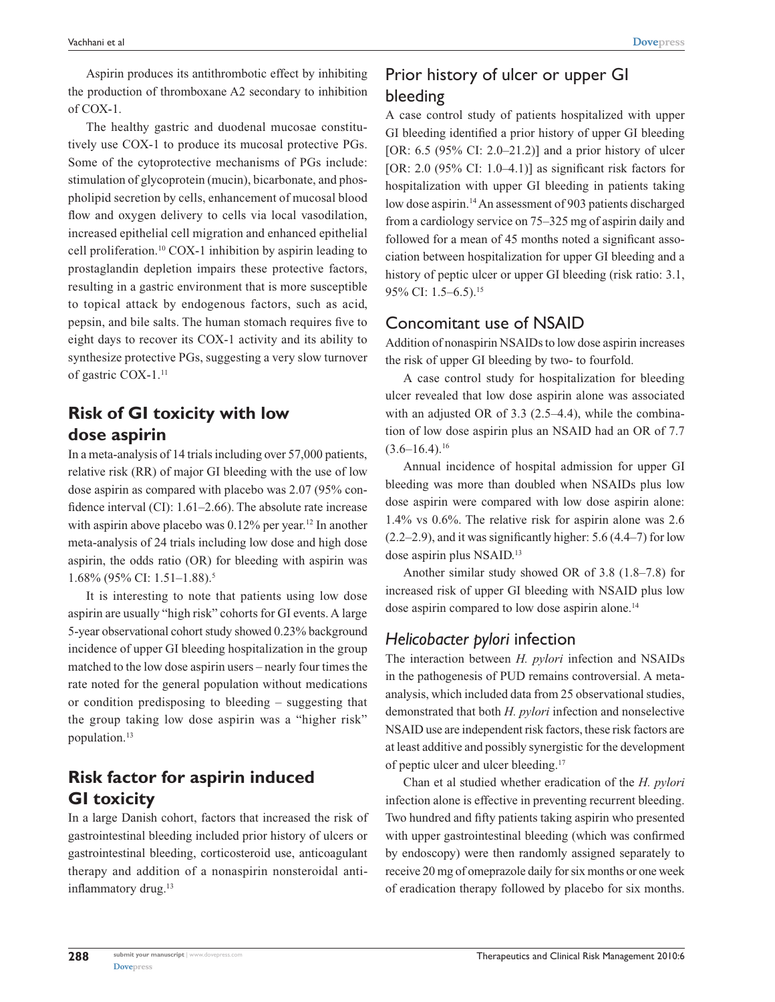Aspirin produces its antithrombotic effect by inhibiting the production of thromboxane A2 secondary to inhibition of COX-1.

The healthy gastric and duodenal mucosae constitutively use COX-1 to produce its mucosal protective PGs. Some of the cytoprotective mechanisms of PGs include: stimulation of glycoprotein (mucin), bicarbonate, and phospholipid secretion by cells, enhancement of mucosal blood flow and oxygen delivery to cells via local vasodilation, increased epithelial cell migration and enhanced epithelial cell proliferation.10 COX-1 inhibition by aspirin leading to prostaglandin depletion impairs these protective factors, resulting in a gastric environment that is more susceptible to topical attack by endogenous factors, such as acid, pepsin, and bile salts. The human stomach requires five to eight days to recover its COX-1 activity and its ability to synthesize protective PGs, suggesting a very slow turnover of gastric COX-1.11

# **Risk of GI toxicity with low dose aspirin**

In a meta-analysis of 14 trials including over 57,000 patients, relative risk (RR) of major GI bleeding with the use of low dose aspirin as compared with placebo was 2.07 (95% confidence interval (CI): 1.61–2.66). The absolute rate increase with aspirin above placebo was 0.12% per year.<sup>12</sup> In another meta-analysis of 24 trials including low dose and high dose aspirin, the odds ratio (OR) for bleeding with aspirin was 1.68% (95% CI: 1.51–1.88).5

It is interesting to note that patients using low dose aspirin are usually "high risk" cohorts for GI events. A large 5-year observational cohort study showed 0.23% background incidence of upper GI bleeding hospitalization in the group matched to the low dose aspirin users – nearly four times the rate noted for the general population without medications or condition predisposing to bleeding – suggesting that the group taking low dose aspirin was a "higher risk" population.13

# **Risk factor for aspirin induced GI toxicity**

In a large Danish cohort, factors that increased the risk of gastrointestinal bleeding included prior history of ulcers or gastrointestinal bleeding, corticosteroid use, anticoagulant therapy and addition of a nonaspirin nonsteroidal antiinflammatory drug.<sup>13</sup>

## Prior history of ulcer or upper GI bleeding

A case control study of patients hospitalized with upper GI bleeding identified a prior history of upper GI bleeding [OR:  $6.5$  (95% CI:  $2.0-21.2$ )] and a prior history of ulcer [OR:  $2.0$  (95% CI:  $1.0-4.1$ )] as significant risk factors for hospitalization with upper GI bleeding in patients taking low dose aspirin.<sup>14</sup> An assessment of 903 patients discharged from a cardiology service on 75–325 mg of aspirin daily and followed for a mean of 45 months noted a significant association between hospitalization for upper GI bleeding and a history of peptic ulcer or upper GI bleeding (risk ratio: 3.1, 95% CI: 1.5–6.5).15

## Concomitant use of NSAID

Addition of nonaspirin NSAIDs to low dose aspirin increases the risk of upper GI bleeding by two- to fourfold.

A case control study for hospitalization for bleeding ulcer revealed that low dose aspirin alone was associated with an adjusted OR of 3.3 (2.5–4.4), while the combination of low dose aspirin plus an NSAID had an OR of 7.7  $(3.6–16.4).$ <sup>16</sup>

Annual incidence of hospital admission for upper GI bleeding was more than doubled when NSAIDs plus low dose aspirin were compared with low dose aspirin alone: 1.4% vs 0.6%. The relative risk for aspirin alone was 2.6  $(2.2–2.9)$ , and it was significantly higher: 5.6  $(4.4–7)$  for low dose aspirin plus NSAID.13

Another similar study showed OR of 3.8 (1.8–7.8) for increased risk of upper GI bleeding with NSAID plus low dose aspirin compared to low dose aspirin alone.14

## *Helicobacter pylori* infection

The interaction between *H. pylori* infection and NSAIDs in the pathogenesis of PUD remains controversial. A metaanalysis, which included data from 25 observational studies, demonstrated that both *H. pylori* infection and nonselective NSAID use are independent risk factors, these risk factors are at least additive and possibly synergistic for the development of peptic ulcer and ulcer bleeding.17

Chan et al studied whether eradication of the *H. pylori* infection alone is effective in preventing recurrent bleeding. Two hundred and fifty patients taking aspirin who presented with upper gastrointestinal bleeding (which was confirmed by endoscopy) were then randomly assigned separately to receive 20 mg of omeprazole daily for six months or one week of eradication therapy followed by placebo for six months.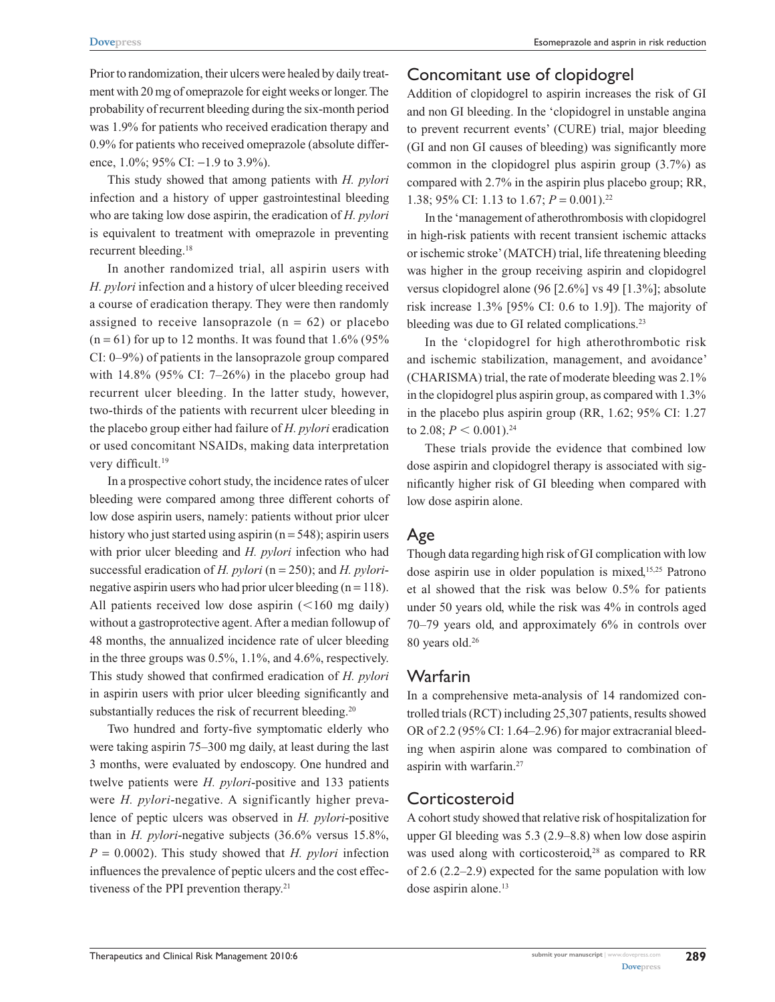Prior to randomization, their ulcers were healed by daily treatment with 20 mg of omeprazole for eight weeks or longer. The probability of recurrent bleeding during the six-month period was 1.9% for patients who received eradication therapy and 0.9% for patients who received omeprazole (absolute difference, 1.0%; 95% CI: −1.9 to 3.9%).

This study showed that among patients with *H. pylori* infection and a history of upper gastrointestinal bleeding who are taking low dose aspirin, the eradication of *H. pylori* is equivalent to treatment with omeprazole in preventing recurrent bleeding.18

In another randomized trial, all aspirin users with *H. pylori* infection and a history of ulcer bleeding received a course of eradication therapy. They were then randomly assigned to receive lansoprazole  $(n = 62)$  or placebo  $(n = 61)$  for up to 12 months. It was found that 1.6% (95%) CI: 0–9%) of patients in the lansoprazole group compared with 14.8% (95% CI: 7–26%) in the placebo group had recurrent ulcer bleeding. In the latter study, however, two-thirds of the patients with recurrent ulcer bleeding in the placebo group either had failure of *H. pylori* eradication or used concomitant NSAIDs, making data interpretation very difficult.<sup>19</sup>

In a prospective cohort study, the incidence rates of ulcer bleeding were compared among three different cohorts of low dose aspirin users, namely: patients without prior ulcer history who just started using aspirin  $(n = 548)$ ; aspirin users with prior ulcer bleeding and *H. pylori* infection who had successful eradication of *H. pylori* (n = 250); and *H. pylori*negative aspirin users who had prior ulcer bleeding  $(n = 118)$ . All patients received low dose aspirin  $(<160$  mg daily) without a gastroprotective agent. After a median followup of 48 months, the annualized incidence rate of ulcer bleeding in the three groups was 0.5%, 1.1%, and 4.6%, respectively. This study showed that confirmed eradication of *H. pylori* in aspirin users with prior ulcer bleeding significantly and substantially reduces the risk of recurrent bleeding.<sup>20</sup>

Two hundred and forty-five symptomatic elderly who were taking aspirin 75–300 mg daily, at least during the last 3 months, were evaluated by endoscopy. One hundred and twelve patients were *H. pylori*-positive and 133 patients were *H. pylori*-negative. A significantly higher prevalence of peptic ulcers was observed in *H. pylori*-positive than in *H. pylori*-negative subjects (36.6% versus 15.8%, *P* = 0.0002). This study showed that *H. pylori* infection influences the prevalence of peptic ulcers and the cost effectiveness of the PPI prevention therapy.<sup>21</sup>

#### Concomitant use of clopidogrel

Addition of clopidogrel to aspirin increases the risk of GI and non GI bleeding. In the 'clopidogrel in unstable angina to prevent recurrent events' (CURE) trial, major bleeding (GI and non GI causes of bleeding) was significantly more common in the clopidogrel plus aspirin group (3.7%) as compared with 2.7% in the aspirin plus placebo group; RR, 1.38; 95% CI: 1.13 to 1.67;  $P = 0.001$ .<sup>22</sup>

In the 'management of atherothrombosis with clopidogrel in high-risk patients with recent transient ischemic attacks or ischemic stroke' (MATCH) trial, life threatening bleeding was higher in the group receiving aspirin and clopidogrel versus clopidogrel alone (96 [2.6%] vs 49 [1.3%]; absolute risk increase 1.3% [95% CI: 0.6 to 1.9]). The majority of bleeding was due to GI related complications.<sup>23</sup>

In the 'clopidogrel for high atherothrombotic risk and ischemic stabilization, management, and avoidance' (CHARISMA) trial, the rate of moderate bleeding was 2.1% in the clopidogrel plus aspirin group, as compared with 1.3% in the placebo plus aspirin group (RR, 1.62; 95% CI: 1.27 to 2.08;  $P < 0.001$ ).<sup>24</sup>

These trials provide the evidence that combined low dose aspirin and clopidogrel therapy is associated with significantly higher risk of GI bleeding when compared with low dose aspirin alone.

#### Age

Though data regarding high risk of GI complication with low dose aspirin use in older population is mixed,15,25 Patrono et al showed that the risk was below 0.5% for patients under 50 years old, while the risk was 4% in controls aged 70–79 years old, and approximately 6% in controls over 80 years old.26

## Warfarin

In a comprehensive meta-analysis of 14 randomized controlled trials (RCT) including 25,307 patients, results showed OR of 2.2 (95% CI: 1.64–2.96) for major extracranial bleeding when aspirin alone was compared to combination of aspirin with warfarin.<sup>27</sup>

## **Corticosteroid**

A cohort study showed that relative risk of hospitalization for upper GI bleeding was 5.3 (2.9–8.8) when low dose aspirin was used along with corticosteroid,<sup>28</sup> as compared to RR of 2.6 (2.2–2.9) expected for the same population with low dose aspirin alone.<sup>13</sup>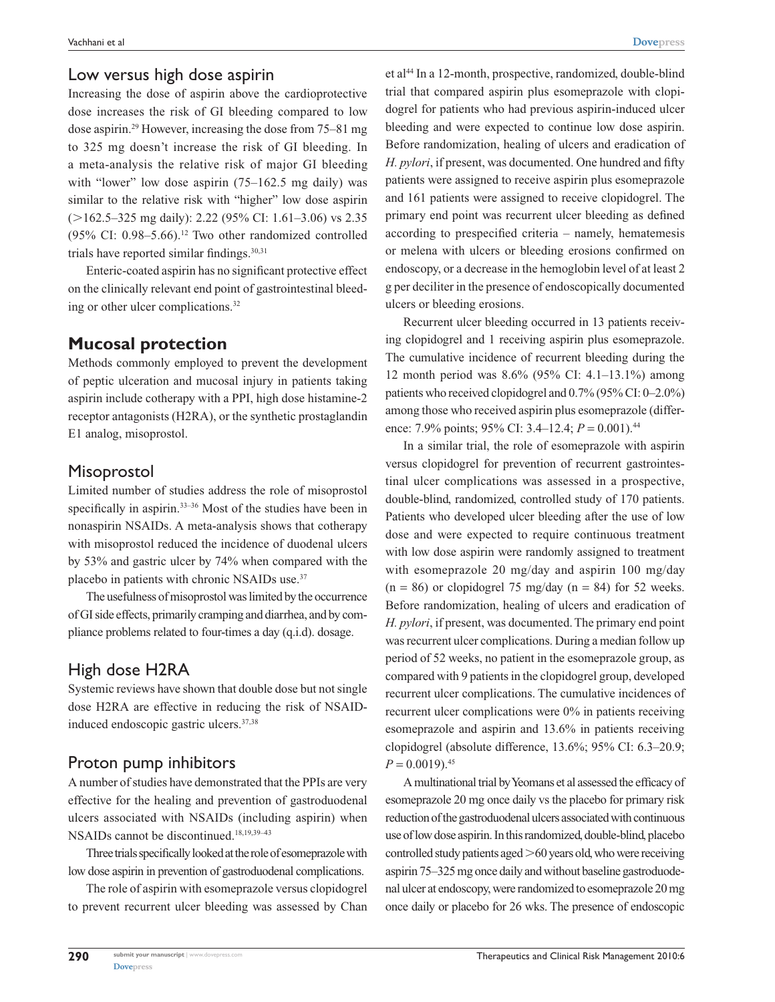#### Low versus high dose aspirin

Increasing the dose of aspirin above the cardioprotective dose increases the risk of GI bleeding compared to low dose aspirin.29 However, increasing the dose from 75–81 mg to 325 mg doesn't increase the risk of GI bleeding. In a meta-analysis the relative risk of major GI bleeding with "lower" low dose aspirin  $(75-162.5 \text{ mg daily})$  was similar to the relative risk with "higher" low dose aspirin (162.5–325 mg daily): 2.22 (95% CI: 1.61–3.06) vs 2.35 (95% CI:  $0.98-5.66$ ).<sup>12</sup> Two other randomized controlled trials have reported similar findings.<sup>30,31</sup>

Enteric-coated aspirin has no significant protective effect on the clinically relevant end point of gastrointestinal bleeding or other ulcer complications.32

## **Mucosal protection**

Methods commonly employed to prevent the development of peptic ulceration and mucosal injury in patients taking aspirin include cotherapy with a PPI, high dose histamine-2 receptor antagonists (H2RA), or the synthetic prostaglandin E1 analog, misoprostol.

#### **Misoprostol**

Limited number of studies address the role of misoprostol specifically in aspirin.<sup>33–36</sup> Most of the studies have been in nonaspirin NSAIDs. A meta-analysis shows that cotherapy with misoprostol reduced the incidence of duodenal ulcers by 53% and gastric ulcer by 74% when compared with the placebo in patients with chronic NSAIDs use.37

The usefulness of misoprostol was limited by the occurrence of GI side effects, primarily cramping and diarrhea, and by compliance problems related to four-times a day (q.i.d). dosage.

## High dose H2RA

Systemic reviews have shown that double dose but not single dose H2RA are effective in reducing the risk of NSAIDinduced endoscopic gastric ulcers.37,38

## Proton pump inhibitors

A number of studies have demonstrated that the PPIs are very effective for the healing and prevention of gastroduodenal ulcers associated with NSAIDs (including aspirin) when NSAIDs cannot be discontinued.18,19,39–43

Three trials specifically looked at the role of esomeprazole with low dose aspirin in prevention of gastroduodenal complications.

The role of aspirin with esomeprazole versus clopidogrel to prevent recurrent ulcer bleeding was assessed by Chan et al<sup>44</sup> In a 12-month, prospective, randomized, double-blind trial that compared aspirin plus esomeprazole with clopidogrel for patients who had previous aspirin-induced ulcer bleeding and were expected to continue low dose aspirin. Before randomization, healing of ulcers and eradication of *H. pylori*, if present, was documented. One hundred and fifty patients were assigned to receive aspirin plus esomeprazole and 161 patients were assigned to receive clopidogrel. The primary end point was recurrent ulcer bleeding as defined according to prespecified criteria – namely, hematemesis or melena with ulcers or bleeding erosions confirmed on endoscopy, or a decrease in the hemoglobin level of at least 2 g per deciliter in the presence of endoscopically documented ulcers or bleeding erosions.

Recurrent ulcer bleeding occurred in 13 patients receiving clopidogrel and 1 receiving aspirin plus esomeprazole. The cumulative incidence of recurrent bleeding during the 12 month period was 8.6% (95% CI: 4.1–13.1%) among patients who received clopidogrel and 0.7% (95% CI: 0–2.0%) among those who received aspirin plus esomeprazole (difference: 7.9% points; 95% CI: 3.4–12.4; *P* = 0.001).44

In a similar trial, the role of esomeprazole with aspirin versus clopidogrel for prevention of recurrent gastrointestinal ulcer complications was assessed in a prospective, double-blind, randomized, controlled study of 170 patients. Patients who developed ulcer bleeding after the use of low dose and were expected to require continuous treatment with low dose aspirin were randomly assigned to treatment with esomeprazole 20 mg/day and aspirin 100 mg/day  $(n = 86)$  or clopidogrel 75 mg/day  $(n = 84)$  for 52 weeks. Before randomization, healing of ulcers and eradication of *H. pylori*, if present, was documented. The primary end point was recurrent ulcer complications. During a median follow up period of 52 weeks, no patient in the esomeprazole group, as compared with 9 patients in the clopidogrel group, developed recurrent ulcer complications. The cumulative incidences of recurrent ulcer complications were 0% in patients receiving esomeprazole and aspirin and 13.6% in patients receiving clopidogrel (absolute difference, 13.6%; 95% CI: 6.3–20.9;  $P = 0.0019$ <sup>45</sup>

A multinational trial by Yeomans et al assessed the efficacy of esomeprazole 20 mg once daily vs the placebo for primary risk reduction of the gastroduodenal ulcers associated with continuous use of low dose aspirin. In this randomized, double-blind, placebo controlled study patients aged  $>60$  years old, who were receiving aspirin 75–325 mg once daily and without baseline gastroduodenal ulcer at endoscopy, were randomized to esomeprazole 20 mg once daily or placebo for 26 wks. The presence of endoscopic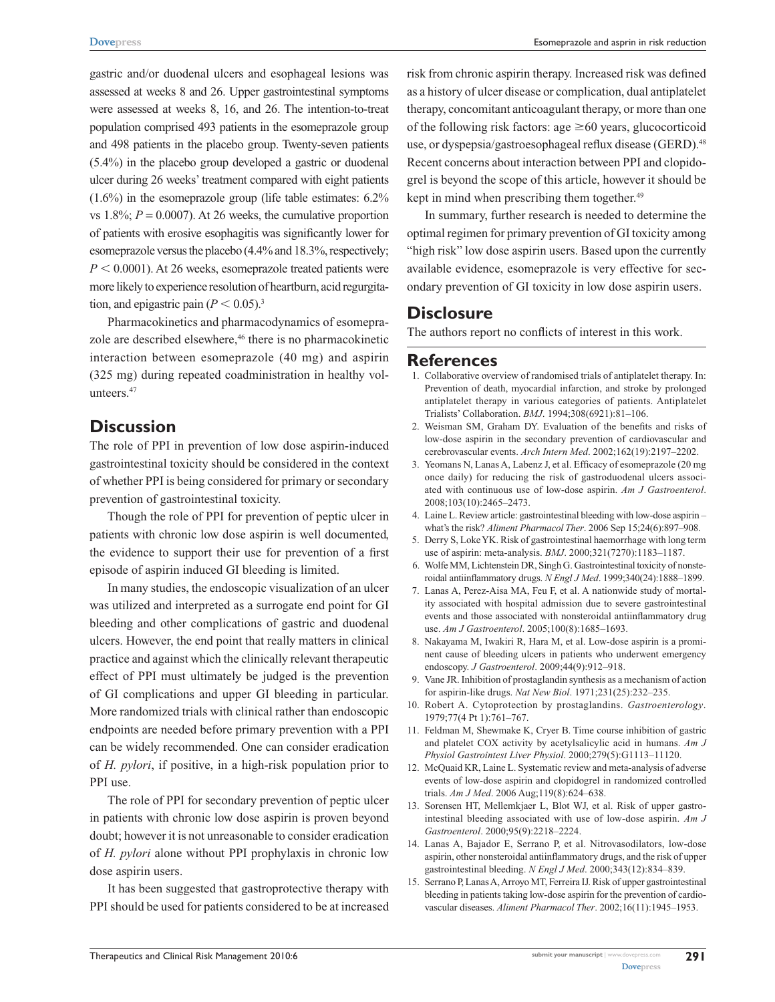gastric and/or duodenal ulcers and esophageal lesions was assessed at weeks 8 and 26. Upper gastrointestinal symptoms were assessed at weeks 8, 16, and 26. The intention-to-treat population comprised 493 patients in the esomeprazole group and 498 patients in the placebo group. Twenty-seven patients (5.4%) in the placebo group developed a gastric or duodenal ulcer during 26 weeks' treatment compared with eight patients (1.6%) in the esomeprazole group (life table estimates: 6.2% vs  $1.8\%$ ;  $P = 0.0007$ ). At 26 weeks, the cumulative proportion of patients with erosive esophagitis was significantly lower for esomeprazole versus the placebo (4.4% and 18.3%, respectively;  $P < 0.0001$ ). At 26 weeks, esomeprazole treated patients were more likely to experience resolution of heartburn, acid regurgitation, and epigastric pain  $(P < 0.05)^3$ 

Pharmacokinetics and pharmacodynamics of esomeprazole are described elsewhere,<sup>46</sup> there is no pharmacokinetic interaction between esomeprazole (40 mg) and aspirin (325 mg) during repeated coadministration in healthy volunteers.47

#### **Discussion**

The role of PPI in prevention of low dose aspirin-induced gastrointestinal toxicity should be considered in the context of whether PPI is being considered for primary or secondary prevention of gastrointestinal toxicity.

Though the role of PPI for prevention of peptic ulcer in patients with chronic low dose aspirin is well documented, the evidence to support their use for prevention of a first episode of aspirin induced GI bleeding is limited.

In many studies, the endoscopic visualization of an ulcer was utilized and interpreted as a surrogate end point for GI bleeding and other complications of gastric and duodenal ulcers. However, the end point that really matters in clinical practice and against which the clinically relevant therapeutic effect of PPI must ultimately be judged is the prevention of GI complications and upper GI bleeding in particular. More randomized trials with clinical rather than endoscopic endpoints are needed before primary prevention with a PPI can be widely recommended. One can consider eradication of *H. pylori*, if positive, in a high-risk population prior to PPI use.

The role of PPI for secondary prevention of peptic ulcer in patients with chronic low dose aspirin is proven beyond doubt; however it is not unreasonable to consider eradication of *H. pylori* alone without PPI prophylaxis in chronic low dose aspirin users.

It has been suggested that gastroprotective therapy with PPI should be used for patients considered to be at increased risk from chronic aspirin therapy. Increased risk was defined as a history of ulcer disease or complication, dual antiplatelet therapy, concomitant anticoagulant therapy, or more than one of the following risk factors: age  $\geq 60$  years, glucocorticoid use, or dyspepsia/gastroesophageal reflux disease (GERD).<sup>48</sup> Recent concerns about interaction between PPI and clopidogrel is beyond the scope of this article, however it should be kept in mind when prescribing them together.<sup>49</sup>

In summary, further research is needed to determine the optimal regimen for primary prevention of GI toxicity among "high risk" low dose aspirin users. Based upon the currently available evidence, esomeprazole is very effective for secondary prevention of GI toxicity in low dose aspirin users.

#### **Disclosure**

The authors report no conflicts of interest in this work.

#### **References**

- 1. Collaborative overview of randomised trials of antiplatelet therapy. In: Prevention of death, myocardial infarction, and stroke by prolonged antiplatelet therapy in various categories of patients. Antiplatelet Trialists' Collaboration. *BMJ*. 1994;308(6921):81–106.
- 2. Weisman SM, Graham DY. Evaluation of the benefits and risks of low-dose aspirin in the secondary prevention of cardiovascular and cerebrovascular events. *Arch Intern Med*. 2002;162(19):2197–2202.
- 3. Yeomans N, Lanas A, Labenz J, et al. Efficacy of esomeprazole (20 mg once daily) for reducing the risk of gastroduodenal ulcers associated with continuous use of low-dose aspirin. *Am J Gastroenterol*. 2008;103(10):2465–2473.
- 4. Laine L. Review article: gastrointestinal bleeding with low-dose aspirin what's the risk? *Aliment Pharmacol Ther*. 2006 Sep 15;24(6):897–908.
- 5. Derry S, Loke YK. Risk of gastrointestinal haemorrhage with long term use of aspirin: meta-analysis. *BMJ*. 2000;321(7270):1183–1187.
- 6. Wolfe MM, Lichtenstein DR, Singh G. Gastrointestinal toxicity of nonsteroidal antiinflammatory drugs. *N Engl J Med*. 1999;340(24):1888–1899.
- 7. Lanas A, Perez-Aisa MA, Feu F, et al. A nationwide study of mortality associated with hospital admission due to severe gastrointestinal events and those associated with nonsteroidal antiinflammatory drug use. *Am J Gastroenterol*. 2005;100(8):1685–1693.
- 8. Nakayama M, Iwakiri R, Hara M, et al. Low-dose aspirin is a prominent cause of bleeding ulcers in patients who underwent emergency endoscopy. *J Gastroenterol*. 2009;44(9):912–918.
- 9. Vane JR. Inhibition of prostaglandin synthesis as a mechanism of action for aspirin-like drugs. *Nat New Biol*. 1971;231(25):232–235.
- 10. Robert A. Cytoprotection by prostaglandins. *Gastroenterology*. 1979;77(4 Pt 1):761–767.
- 11. Feldman M, Shewmake K, Cryer B. Time course inhibition of gastric and platelet COX activity by acetylsalicylic acid in humans. *Am J Physiol Gastrointest Liver Physiol*. 2000;279(5):G1113–11120.
- 12. McQuaid KR, Laine L. Systematic review and meta-analysis of adverse events of low-dose aspirin and clopidogrel in randomized controlled trials. *Am J Med*. 2006 Aug;119(8):624–638.
- 13. Sorensen HT, Mellemkjaer L, Blot WJ, et al. Risk of upper gastrointestinal bleeding associated with use of low-dose aspirin. *Am J Gastroenterol*. 2000;95(9):2218–2224.
- 14. Lanas A, Bajador E, Serrano P, et al. Nitrovasodilators, low-dose aspirin, other nonsteroidal antiinflammatory drugs, and the risk of upper gastrointestinal bleeding. *N Engl J Med*. 2000;343(12):834–839.
- 15. Serrano P, Lanas A, Arroyo MT, Ferreira IJ. Risk of upper gastrointestinal bleeding in patients taking low-dose aspirin for the prevention of cardiovascular diseases. *Aliment Pharmacol Ther*. 2002;16(11):1945–1953.